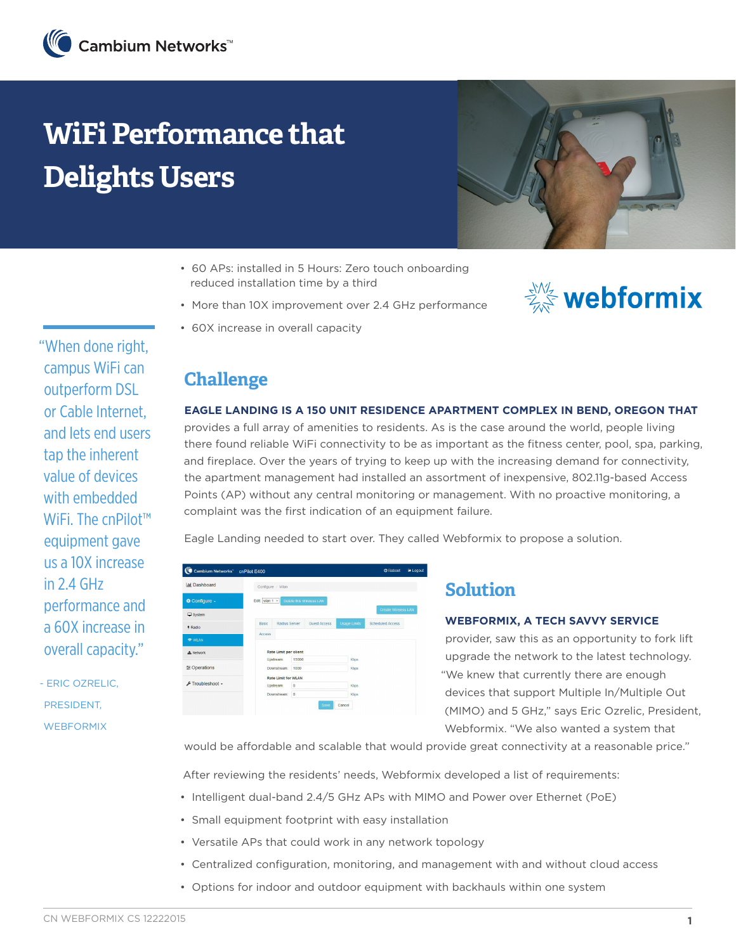# **WiFi Performance that Delights Users**



- 60 APs: installed in 5 Hours: Zero touch onboarding reduced installation time by a third
- More than 10X improvement over 2.4 GHz performance



• 60X increase in overall capacity

# **Challenge**

#### **EAGLE LANDING IS A 150 UNIT RESIDENCE APARTMENT COMPLEX IN BEND, OREGON THAT**

provides a full array of amenities to residents. As is the case around the world, people living there found reliable WiFi connectivity to be as important as the fitness center, pool, spa, parking, and fireplace. Over the years of trying to keep up with the increasing demand for connectivity, the apartment management had installed an assortment of inexpensive, 802.11g-based Access Points (AP) without any central monitoring or management. With no proactive monitoring, a complaint was the first indication of an equipment failure.

Eagle Landing needed to start over. They called Webformix to propose a solution.

| Cambium Networks" cnPilot E400 |                                            |           |              |                          |                     |                         |  |
|--------------------------------|--------------------------------------------|-----------|--------------|--------------------------|---------------------|-------------------------|--|
| <b>Jul</b> Dashboard           | Configure / Wian                           |           |              |                          |                     |                         |  |
| <b>Configure -</b>             | Edit: wan 1 v                              |           |              | Delete this Wireless LAN |                     |                         |  |
| $\Box$ System                  |                                            |           |              |                          |                     | Create Wireless LAN     |  |
| 4 Radio                        | Radius Server<br>Basic                     |           |              | <b>Guest Access</b>      | <b>Usage Limits</b> | <b>Scheduled Access</b> |  |
| <b>WLAN</b>                    | Access                                     |           |              |                          |                     |                         |  |
| <b>d</b> b Network             | Rate Limit per client                      |           |              |                          |                     |                         |  |
| 三 Operations                   | Upstream:                                  |           | 15000        | Kbps                     |                     |                         |  |
|                                | Downstream:<br><b>Rate Limit for V/LAN</b> |           | 1000<br>Kbps |                          |                     |                         |  |
| Froubleshoot -                 |                                            | Upstream: |              |                          |                     |                         |  |
|                                | Downstream:                                |           | $\theta$     |                          | <b>Kbos</b>         |                         |  |
|                                |                                            |           |              | Save                     | Cancel              |                         |  |
|                                |                                            |           |              |                          |                     |                         |  |

### **Solution**

#### **WEBFORMIX, A TECH SAVVY SERVICE**

provider, saw this as an opportunity to fork lift upgrade the network to the latest technology. "We knew that currently there are enough devices that support Multiple In/Multiple Out (MIMO) and 5 GHz," says Eric Ozrelic, President, Webformix. "We also wanted a system that

would be affordable and scalable that would provide great connectivity at a reasonable price."

After reviewing the residents' needs, Webformix developed a list of requirements:

- Intelligent dual-band 2.4/5 GHz APs with MIMO and Power over Ethernet (PoE)
- Small equipment footprint with easy installation
- Versatile APs that could work in any network topology
- Centralized configuration, monitoring, and management with and without cloud access
- Options for indoor and outdoor equipment with backhauls within one system

"When done right, campus WiFi can outperform DSL or Cable Internet, and lets end users tap the inherent value of devices with embedded WiFi. The cnPilot<sup>™</sup> equipment gave us a 10X increase in 2.4 GHz performance and a 60X increase in overall capacity."

- ERIC OZRELIC, PRESIDENT, **WEBFORMIX**